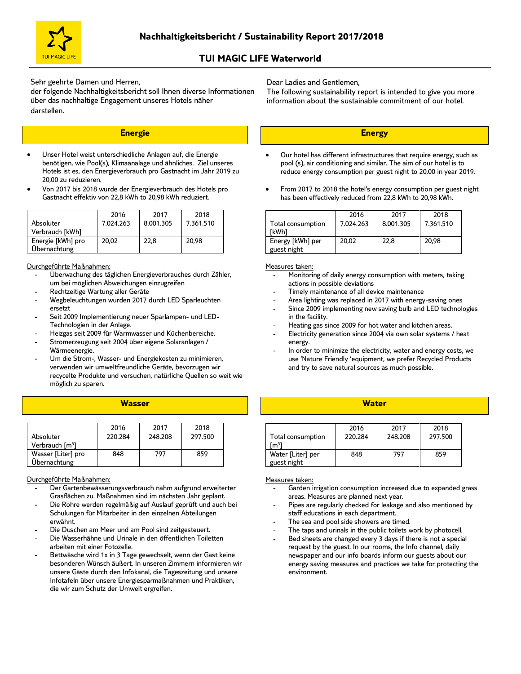

Sehr geehrte Damen und Herren,

der folgende Nachhaltigkeitsbericht soll Ihnen diverse Informationen über das nachhaltige Engagement unseres Hotels näher darstellen.

## **Energie**

- Unser Hotel weist unterschiedliche Anlagen auf, die Energie benötigen, wie Pool(s), Klimaanalage und ähnliches. Ziel unseres Hotels ist es, den Energieverbrauch pro Gastnacht im Jahr 2019 zu 20,00 zu reduzieren.
- Von 2017 bis 2018 wurde der Energieverbrauch des Hotels pro Gastnacht effektiv von 22,8 kWh to 20,98 kWh reduziert.

|                   | 2016      | 2017      | 2018      |
|-------------------|-----------|-----------|-----------|
| Absoluter         | 7.024.263 | 8.001.305 | 7.361.510 |
| Verbrauch [kWh]   |           |           |           |
| Energie [kWh] pro | 20.02     | 22.8      | 20.98     |
| Ubernachtung      |           |           |           |

Durchgeführte Maßnahmen:

- Überwachung des täglichen Energieverbrauches durch Zähler, um bei möglichen Abweichungen einzugreifen
- Rechtzeitige Wartung aller Geräte
- Wegbeleuchtungen wurden 2017 durch LED Sparleuchten ersetzt
- Seit 2009 Implementierung neuer Sparlampen- und LED-Technologien in der Anlage.
- Heizgas seit 2009 für Warmwasser und Küchenbereiche.
- Stromerzeugung seit 2004 über eigene Solaranlagen / Wärmeenergie.
- Um die Strom-, Wasser- und Energiekosten zu minimieren, verwenden wir umweltfreundliche Geräte, bevorzugen wir recycelte Produkte und versuchen, natürliche Quellen so weit wie möglich zu sparen.

### **Wasser**

|                             | 2016    | 2017    | 2018    |
|-----------------------------|---------|---------|---------|
| Absoluter                   | 220.284 | 248.208 | 297.500 |
| Verbrauch [m <sup>3</sup> ] |         |         |         |
| Wasser [Liter] pro          | 848     | 797     | 859     |
| Ubernachtung                |         |         |         |

### Durchgeführte Maßnahmen:

- Der Gartenbewässerungsverbrauch nahm aufgrund erweiterter Grasflächen zu. Maßnahmen sind im nächsten Jahr geplant.
- Die Rohre werden regelmäßig auf Auslauf geprüft und auch bei Schulungen für Mitarbeiter in den einzelnen Abteilungen erwähnt.
- Die Duschen am Meer und am Pool sind zeitgesteuert.
- Die Wasserhähne und Urinale in den öffentlichen Toiletten arbeiten mit einer Fotozelle.
- Bettwäsche wird 1x in 3 Tage gewechselt, wenn der Gast keine besonderen Wünsch äußert. In unseren Zimmern informieren wir unsere Gäste durch den Infokanal, die Tageszeitung und unsere Infotafeln über unsere Energiesparmaßnahmen und Praktiken, die wir zum Schutz der Umwelt ergreifen.

Dear Ladies and Gentlemen,

The following sustainability report is intended to give you more information about the sustainable commitment of our hotel.

### **Energy**

- Our hotel has different infrastructures that require energy, such as pool (s), air conditioning and similar. The aim of our hotel is to reduce energy consumption per guest night to 20,00 in year 2019.
- From 2017 to 2018 the hotel's energy consumption per guest night has been effectively reduced from 22,8 kWh to 20,98 kWh.

|                                   | 2016      | 2017      | 2018      |
|-----------------------------------|-----------|-----------|-----------|
| Total consumption<br><b>IkWhl</b> | 7.024.263 | 8.001.305 | 7.361.510 |
| Energy [kWh] per<br>guest night   | 20.02     | 22,8      | 20,98     |

#### Measures taken:

- Monitoring of daily energy consumption with meters, taking actions in possible deviations
- Timely maintenance of all device maintenance
- Area lighting was replaced in 2017 with energy-saving ones
- Since 2009 implementing new saving bulb and LED technologies in the facility.
- Heating gas since 2009 for hot water and kitchen areas.
- Electricity generation since 2004 via own solar systems / heat energy.
- In order to minimize the electricity, water and energy costs, we use 'Nature Friendly 'equipment, we prefer Recycled Products and try to save natural sources as much possible.

### **Water**

|                                     | 2016    | 2017    | 2018    |
|-------------------------------------|---------|---------|---------|
| Total consumption<br>m <sup>3</sup> | 220.284 | 248.208 | 297.500 |
| Water [Liter] per<br>guest night    | 848     | 797     | 859     |

#### Measures taken:

- Garden irrigation consumption increased due to expanded grass areas. Measures are planned next year.
- Pipes are regularly checked for leakage and also mentioned by staff educations in each department.
- The sea and pool side showers are timed.
- The taps and urinals in the public toilets work by photocell.
- Bed sheets are changed every 3 days if there is not a special request by the guest. In our rooms, the Info channel, daily newspaper and our info boards inform our guests about our energy saving measures and practices we take for protecting the environment.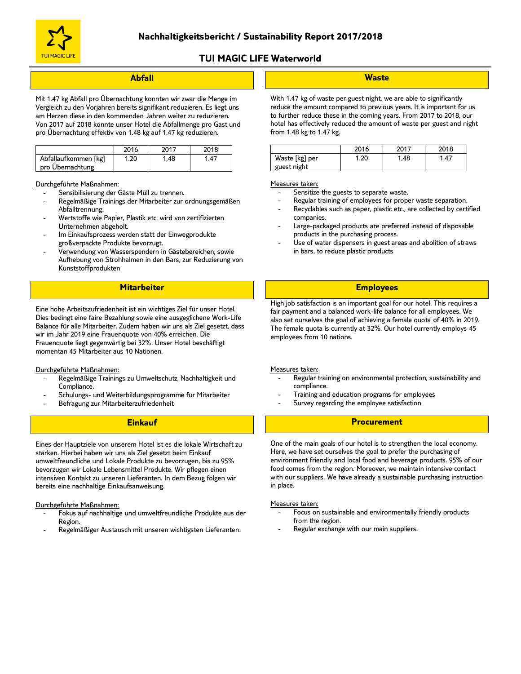# **Abfall**

Mit 1.47 kg Abfall pro Übernachtung konnten wir zwar die Menge im Vergleich zu den Vorjahren bereits signifikant reduzieren. Es liegt uns am Herzen diese in den kommenden Jahren weiter zu reduzieren. Von 2017 auf 2018 konnte unser Hotel die Abfallmenge pro Gast und pro Übernachtung effektiv von 1.48 kg auf 1.47 kg reduzieren.

|                      | 2016 | 2017 | 2018 |
|----------------------|------|------|------|
| Abfallaufkommen [kg] | 1.20 | 1.48 | 1.47 |
| pro Übernachtung     |      |      |      |

#### Durchgeführte Maßnahmen:

- Sensibilisierung der Gäste Müll zu trennen.

- Regelmäßige Trainings der Mitarbeiter zur ordnungsgemäßen Abfalltrennung.
- Wertstoffe wie Papier, Plastik etc. wird von zertifizierten Unternehmen abgeholt.
- Im Einkaufsprozess werden statt der Einwegprodukte großverpackte Produkte bevorzugt.
- Verwendung von Wasserspendern in Gästebereichen, sowie Aufhebung von Strohhalmen in den Bars, zur Reduzierung von Kunststoffprodukten

### **Mitarbeiter**

 Eine hohe Arbeitszufriedenheit ist ein wichtiges Ziel für unser Hotel. Dies bedingt eine faire Bezahlung sowie eine ausgeglichene Work-Life Balance für alle Mitarbeiter. Zudem haben wir uns als Ziel gesetzt, dass wir im Jahr 2019 eine Frauenquote von 40% erreichen. Die Frauenquote liegt gegenwärtig bei 32%. Unser Hotel beschäftigt momentan 45 Mitarbeiter aus 10 Nationen.

Durchgeführte Maßnahmen:

- Regelmäßige Trainings zu Umweltschutz, Nachhaltigkeit und Compliance.
- Schulungs- und Weiterbildungsprogramme für Mitarbeiter
- Befragung zur Mitarbeiterzufriedenheit

## **Einkauf**

 Eines der Hauptziele von unserem Hotel ist es die lokale Wirtschaft zu stärken. Hierbei haben wir uns als Ziel gesetzt beim Einkauf umweltfreundliche und Lokale Produkte zu bevorzugen, bis zu 95% bevorzugen wir Lokale Lebensmittel Produkte. Wir pflegen einen intensiven Kontakt zu unseren Lieferanten. In dem Bezug folgen wir bereits eine nachhaltige Einkaufsanweisung.

Durchgeführte Maßnahmen:

- Fokus auf nachhaltige und umweltfreundliche Produkte aus der Region.
- Regelmäßiger Austausch mit unseren wichtigsten Lieferanten.

### **Waste**

With 1.47 kg of waste per guest night, we are able to significantly reduce the amount compared to previous years. It is important for us to further reduce these in the coming years. From 2017 to 2018, our hotel has effectively reduced the amount of waste per guest and night from 1.48 kg to 1.47 kg.

|                               | 2016 | 2017 | 2018 |
|-------------------------------|------|------|------|
| Waste [kg] per<br>guest night | .20، | 1,48 | . 47 |

#### Measures taken:

- Sensitize the guests to separate waste.
- Regular training of employees for proper waste separation.
- Recyclables such as paper, plastic etc., are collected by certified companies.
- Large-packaged products are preferred instead of disposable products in the purchasing process.
- Use of water dispensers in guest areas and abolition of straws in bars, to reduce plastic products

### **Employees**

High job satisfaction is an important goal for our hotel. This requires a fair payment and a balanced work-life balance for all employees. We also set ourselves the goal of achieving a female quota of 40% in 2019. The female quota is currently at 32%. Our hotel currently employs 45 employees from 10 nations.

#### Measures taken:

- Regular training on environmental protection, sustainability and compliance.
- Training and education programs for employees
- Survey regarding the employee satisfaction

### **Procurement**

 One of the main goals of our hotel is to strengthen the local economy. Here, we have set ourselves the goal to prefer the purchasing of environment friendly and local food and beverage products. 95% of our food comes from the region. Moreover, we maintain intensive contact with our suppliers. We have already a sustainable purchasing instruction in place.

#### Measures taken:

- Focus on sustainable and environmentally friendly products from the region.
- Regular exchange with our main suppliers.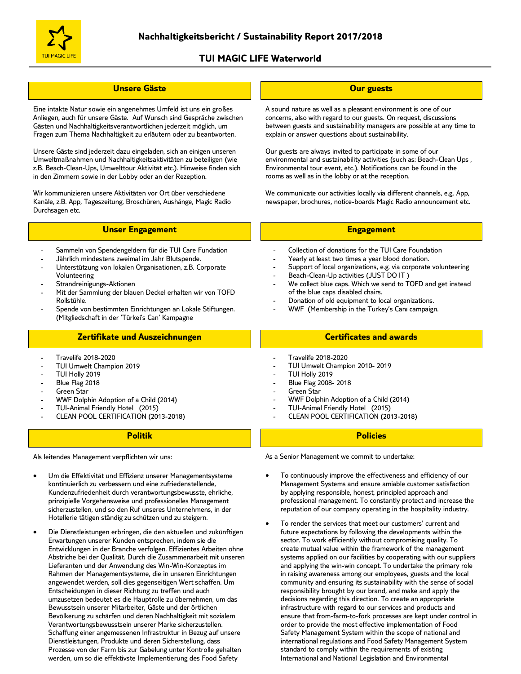

# **Unsere Gäste**

Eine intakte Natur sowie ein angenehmes Umfeld ist uns ein großes Anliegen, auch für unsere Gäste. Auf Wunsch sind Gespräche zwischen Gästen und Nachhaltigkeitsverantwortlichen jederzeit möglich, um Fragen zum Thema Nachhaltigkeit zu erläutern oder zu beantworten.

Unsere Gäste sind jederzeit dazu eingeladen, sich an einigen unseren Umweltmaßnahmen und Nachhaltigkeitsaktivitäten zu beteiligen (wie z.B. Beach-Clean-Ups, Umwelttour Aktivität etc.). Hinweise finden sich in den Zimmern sowie in der Lobby oder an der Rezeption.

Wir kommunizieren unsere Aktivitäten vor Ort über verschiedene Kanäle, z.B. App, Tageszeitung, Broschüren, Aushänge, Magic Radio Durchsagen etc.

# **Unser Engagement**

- Sammeln von Spendengeldern für die TUI Care Fundation
- Jährlich mindestens zweimal im Jahr Blutspende.
- Unterstützung von lokalen Organisationen, z.B. Corporate Volunteering
- Strandreinigungs-Aktionen
- Mit der Sammlung der blauen Deckel erhalten wir von TOFD Rollstühle.
- Spende von bestimmten Einrichtungen an Lokale Stiftungen. (Mitgliedschaft in der 'Türkei's Can' Kampagne

### **Zertifikate und Auszeichnungen**

- Travelife 2018-2020
- TUI Umwelt Champion 2019
- TUI Holly 2019
- Blue Flag 2018
- Green Star
- WWF Dolphin Adoption of a Child (2014)
- TUI-Animal Friendly Hotel (2015)
- CLEAN POOL CERTIFICATION (2013-2018)

### **Politik**

Als leitendes Management verpflichten wir uns:

- Um die Effektivität und Effizienz unserer Managementsysteme kontinuierlich zu verbessern und eine zufriedenstellende, Kundenzufriedenheit durch verantwortungsbewusste, ehrliche, prinzipielle Vorgehensweise und professionelles Management sicherzustellen, und so den Ruf unseres Unternehmens, in der Hotellerie tätigen ständig zu schützen und zu steigern.
- Die Dienstleistungen erbringen, die den aktuellen und zukünftigen Erwartungen unserer Kunden entsprechen, indem sie die Entwicklungen in der Branche verfolgen. Effizientes Arbeiten ohne Abstriche bei der Qualität. Durch die Zusammenarbeit mit unseren Lieferanten und der Anwendung des Win-Win-Konzeptes im Rahmen der Managementsysteme, die in unseren Einrichtungen angewendet werden, soll dies gegenseitigen Wert schaffen. Um Entscheidungen in dieser Richtung zu treffen und auch umzusetzen bedeutet es die Hauptrolle zu übernehmen, um das Bewusstsein unserer Mitarbeiter, Gäste und der örtlichen Bevölkerung zu schärfen und deren Nachhaltigkeit mit sozialem Verantwortungsbewusstsein unserer Marke sicherzustellen. Schaffung einer angemessenen Infrastruktur in Bezug auf unsere Dienstleistungen, Produkte und deren Sicherstellung, dass Prozesse von der Farm bis zur Gabelung unter Kontrolle gehalten werden, um so die effektivste Implementierung des Food Safety

# **Our guests**

A sound nature as well as a pleasant environment is one of our concerns, also with regard to our guests. On request, discussions between guests and sustainability managers are possible at any time to explain or answer questions about sustainability.

Our guests are always invited to participate in some of our environmental and sustainability activities (such as: Beach-Clean Ups , Environmental tour event, etc.). Notifications can be found in the rooms as well as in the lobby or at the reception.

We communicate our activities locally via different channels, e.g. App, newspaper, brochures, notice-boards Magic Radio announcement etc.

### **Engagement**

- Collection of donations for the TUI Care Foundation
- Yearly at least two times a year blood donation.
- Support of local organizations, e.g. via corporate volunteering
- Beach-Clean-Up activities (JUST DO IT)
- We collect blue caps. Which we send to TOFD and get instead of the blue caps disabled chairs.
- Donation of old equipment to local organizations.
- WWF (Membership in the Turkey's Canı campaign.

### **Certificates and awards**

- Travelife 2018-2020
- TUI Umwelt Champion 2010-2019
- TUI Holly 2019
- Blue Flag 2008- 2018
- Green Star
- WWF Dolphin Adoption of a Child (2014)
- TUI-Animal Friendly Hotel (2015)
- CLEAN POOL CERTIFICATION (2013-2018)

### **Policies**

As a Senior Management we commit to undertake:

- To continuously improve the effectiveness and efficiency of our Management Systems and ensure amiable customer satisfaction by applying responsible, honest, principled approach and professional management. To constantly protect and increase the reputation of our company operating in the hospitality industry.
- To render the services that meet our customers' current and future expectations by following the developments within the sector. To work efficiently without compromising quality. To create mutual value within the framework of the management systems applied on our facilities by cooperating with our suppliers and applying the win-win concept. To undertake the primary role in raising awareness among our employees, guests and the local community and ensuring its sustainability with the sense of social responsibility brought by our brand, and make and apply the decisions regarding this direction. To create an appropriate infrastructure with regard to our services and products and ensure that from-farm-to-fork processes are kept under control in order to provide the most effective implementation of Food Safety Management System within the scope of national and international regulations and Food Safety Management System standard to comply within the requirements of existing International and National Legislation and Environmental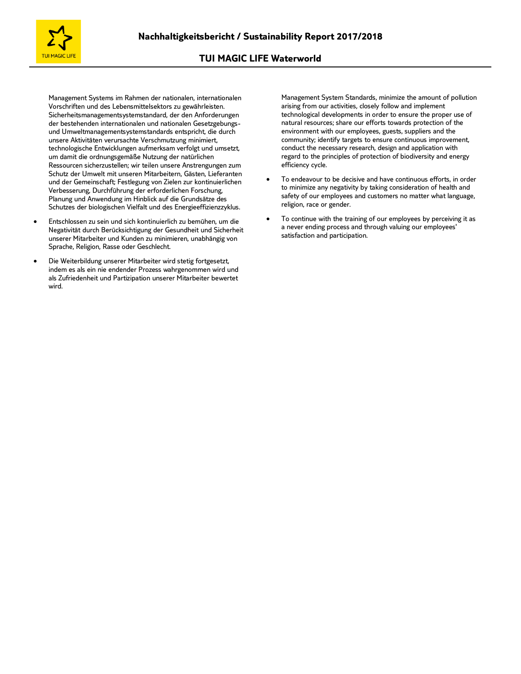

Management Systems im Rahmen der nationalen, internationalen Vorschriften und des Lebensmittelsektors zu gewährleisten. Sicherheitsmanagementsystemstandard, der den Anforderungen der bestehenden internationalen und nationalen Gesetzgebungsund Umweltmanagementsystemstandards entspricht, die durch unsere Aktivitäten verursachte Verschmutzung minimiert, technologische Entwicklungen aufmerksam verfolgt und umsetzt, um damit die ordnungsgemäße Nutzung der natürlichen Ressourcen sicherzustellen; wir teilen unsere Anstrengungen zum Schutz der Umwelt mit unseren Mitarbeitern, Gästen, Lieferanten und der Gemeinschaft; Festlegung von Zielen zur kontinuierlichen Verbesserung, Durchführung der erforderlichen Forschung, Planung und Anwendung im Hinblick auf die Grundsätze des Schutzes der biologischen Vielfalt und des Energieeffizienzzyklus.

- Entschlossen zu sein und sich kontinuierlich zu bemühen, um die Negativität durch Berücksichtigung der Gesundheit und Sicherheit unserer Mitarbeiter und Kunden zu minimieren, unabhängig von Sprache, Religion, Rasse oder Geschlecht.
- Die Weiterbildung unserer Mitarbeiter wird stetig fortgesetzt, indem es als ein nie endender Prozess wahrgenommen wird und als Zufriedenheit und Partizipation unserer Mitarbeiter bewertet wird.

Management System Standards, minimize the amount of pollution arising from our activities, closely follow and implement technological developments in order to ensure the proper use of natural resources; share our efforts towards protection of the environment with our employees, guests, suppliers and the community; identify targets to ensure continuous improvement, conduct the necessary research, design and application with regard to the principles of protection of biodiversity and energy efficiency cycle.

- To endeavour to be decisive and have continuous efforts, in order to minimize any negativity by taking consideration of health and safety of our employees and customers no matter what language, religion, race or gender.
- To continue with the training of our employees by perceiving it as a never ending process and through valuing our employees' satisfaction and participation.